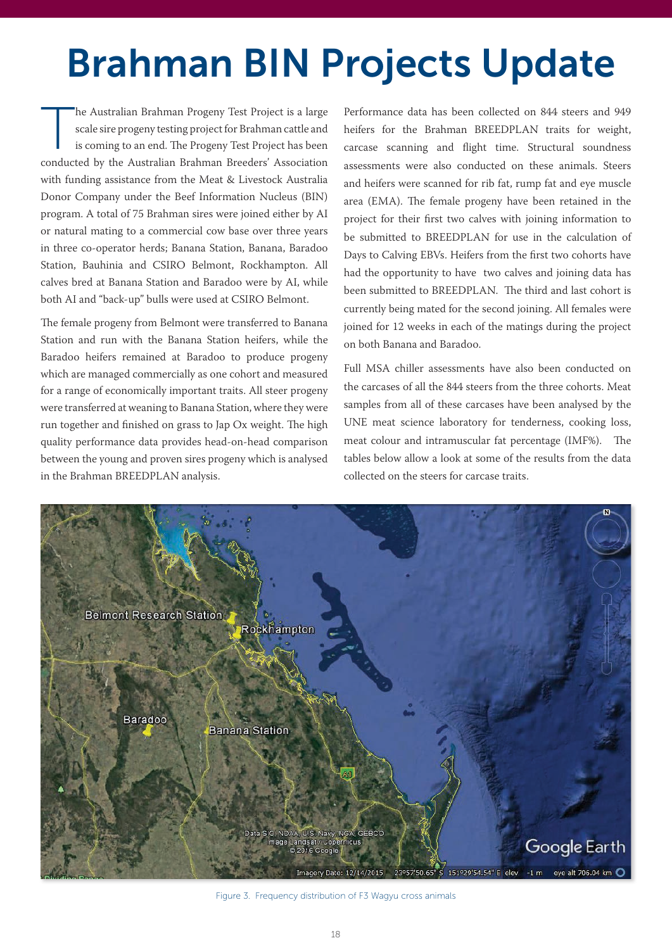## Brahman BIN Projects Update

The Australian Brahman Progeny Test Project is a large scale sire progeny testing project for Brahman cattle and is coming to an end. The Progeny Test Project has been conducted by the Australian Brahman Breeders' Association with funding assistance from the Meat & Livestock Australia Donor Company under the Beef Information Nucleus (BIN) program. A total of 75 Brahman sires were joined either by AI or natural mating to a commercial cow base over three years in three co-operator herds; Banana Station, Banana, Baradoo Station, Bauhinia and CSIRO Belmont, Rockhampton. All calves bred at Banana Station and Baradoo were by AI, while both AI and "back-up" bulls were used at CSIRO Belmont.

The female progeny from Belmont were transferred to Banana Station and run with the Banana Station heifers, while the Baradoo heifers remained at Baradoo to produce progeny which are managed commercially as one cohort and measured for a range of economically important traits. All steer progeny were transferred at weaning to Banana Station, where they were run together and finished on grass to Jap Ox weight. The high quality performance data provides head-on-head comparison between the young and proven sires progeny which is analysed in the Brahman BREEDPLAN analysis.

Performance data has been collected on 844 steers and 949 heifers for the Brahman BREEDPLAN traits for weight, carcase scanning and flight time. Structural soundness assessments were also conducted on these animals. Steers and heifers were scanned for rib fat, rump fat and eye muscle area (EMA). The female progeny have been retained in the project for their first two calves with joining information to be submitted to BREEDPLAN for use in the calculation of Days to Calving EBVs. Heifers from the first two cohorts have had the opportunity to have two calves and joining data has been submitted to BREEDPLAN. The third and last cohort is currently being mated for the second joining. All females were joined for 12 weeks in each of the matings during the project on both Banana and Baradoo.

Full MSA chiller assessments have also been conducted on the carcases of all the 844 steers from the three cohorts. Meat samples from all of these carcases have been analysed by the UNE meat science laboratory for tenderness, cooking loss, meat colour and intramuscular fat percentage (IMF%). The tables below allow a look at some of the results from the data collected on the steers for carcase traits.



Figure 3. Frequency distribution of F3 Wagyu cross animals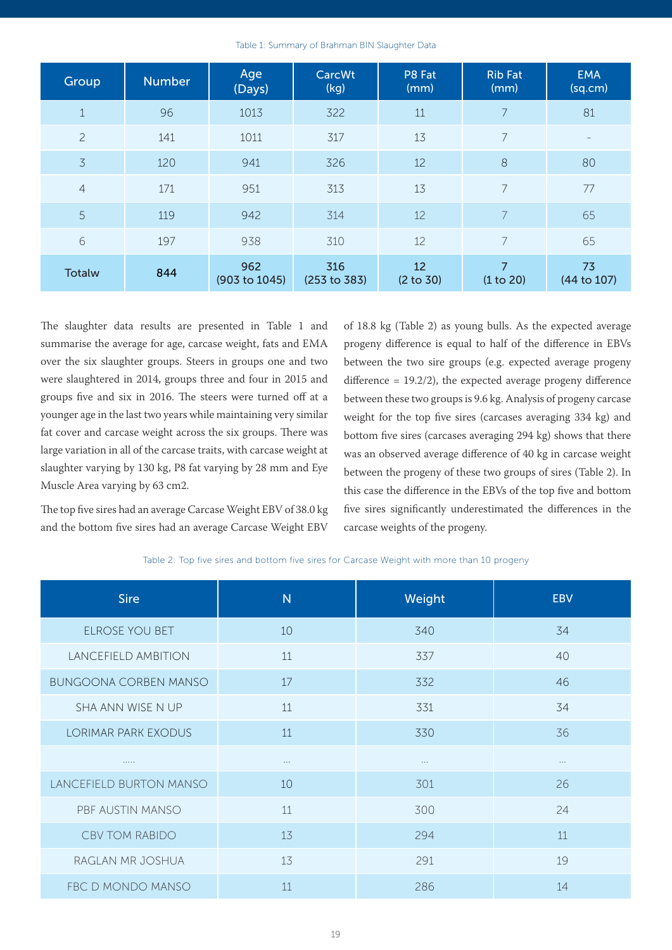| Table 1: Summary of Brahman BIN Slaughter Data |  |
|------------------------------------------------|--|
|------------------------------------------------|--|

| Group          | <b>Number</b> | Age<br>(Days)        | CarcWt<br>(kg)      | P8 Fat<br>(mm)  | <b>Rib Fat</b><br>(mm)      | <b>EMA</b><br>(sq.cm) |
|----------------|---------------|----------------------|---------------------|-----------------|-----------------------------|-----------------------|
| $\mathbf{1}$   | 96            | 1013                 | 322                 | 11              | 7                           | 81                    |
| $\overline{c}$ | 141           | 1011                 | 317                 | 13              | 7                           | $\equiv$              |
| 3              | 120           | 941                  | 326                 | 12              | 8                           | 80                    |
| $\overline{4}$ | 171           | 951                  | 313                 | 13              | $\overline{7}$              | 77                    |
| 5              | 119           | 942                  | 314                 | 12              | $\overline{7}$              | 65                    |
| 6              | 197           | 938                  | 310                 | 12              | $\overline{7}$              | 65                    |
| <b>Totalw</b>  | 844           | 962<br>(903 to 1045) | 316<br>(253 to 383) | 12<br>(2 to 30) | $\overline{7}$<br>(1 to 20) | 73<br>(44 to 107)     |

The slaughter data results are presented in Table 1 and summarise the average for age, carcase weight, fats and EMA over the six slaughter groups. Steers in groups one and two were slaughtered in 2014, groups three and four in 2015 and groups five and six in 2016. The steers were turned off at a younger age in the last two years while maintaining very similar fat cover and carcase weight across the six groups. There was large variation in all of the carcase traits, with carcase weight at slaughter varying by 130 kg, P8 fat varying by 28 mm and Eye Muscle Area varying by 63 cm2.

The top five sires had an average Carcase Weight EBV of 38.0 kg and the bottom five sires had an average Carcase Weight EBV of 18.8 kg (Table 2) as young bulls. As the expected average progeny difference is equal to half of the difference in EBVs between the two sire groups (e.g. expected average progeny difference = 19.2/2), the expected average progeny difference between these two groups is 9.6 kg. Analysis of progeny carcase weight for the top five sires (carcases averaging 334 kg) and bottom five sires (carcases averaging 294 kg) shows that there was an observed average difference of 40 kg in carcase weight between the progeny of these two groups of sires (Table 2). In this case the difference in the EBVs of the top five and bottom five sires significantly underestimated the differences in the carcase weights of the progeny.

Table 2: Top five sires and bottom five sires for Carcase Weight with more than 10 progeny

| <b>Sire</b>                  | $\overline{N}$ | Weight   | <b>EBV</b> |
|------------------------------|----------------|----------|------------|
| <b>ELROSE YOU BET</b>        | 10             | 340      | 34         |
| LANCEFIELD AMBITION          | 11             | 337      | 40         |
| <b>BUNGOONA CORBEN MANSO</b> | 17             | 332      | 46         |
| SHA ANN WISE N UP            | 11             | 331      | 34         |
| <b>LORIMAR PARK EXODUS</b>   | 11             | 330      | 36         |
| .                            | $\cdots$       | $\cdots$ | $\cdots$   |
| LANCEFIELD BURTON MANSO      | 10             | 301      | 26         |
| PBF AUSTIN MANSO             | 11             | 300      | 24         |
| <b>CBV TOM RABIDO</b>        | 13             | 294      | 11         |
| RAGLAN MR JOSHUA             | 13             | 291      | 19         |
| FBC D MONDO MANSO            | 11             | 286      | 14         |